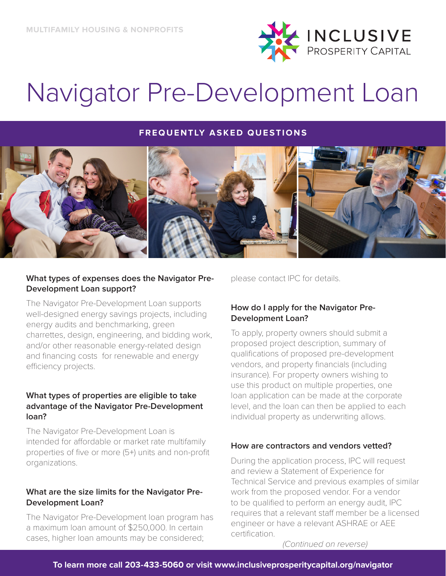

## Navigator Pre-Development Loan

## **FREQUENTLY ASKED QUESTIONS**



### **What types of expenses does the Navigator Pre-Development Loan support?**

The Navigator Pre-Development Loan supports well-designed energy savings projects, including energy audits and benchmarking, green charrettes, design, engineering, and bidding work, and/or other reasonable energy-related design and financing costs for renewable and energy efficiency projects.

## **What types of properties are eligible to take advantage of the Navigator Pre-Development loan?**

The Navigator Pre-Development Loan is intended for affordable or market rate multifamily properties of five or more (5+) units and non-profit organizations.

## **What are the size limits for the Navigator Pre-Development Loan?**

The Navigator Pre-Development loan program has a maximum loan amount of \$250,000. In certain cases, higher loan amounts may be considered;

please contact IPC for details.

## **How do I apply for the Navigator Pre-Development Loan?**

To apply, property owners should submit a proposed project description, summary of qualifications of proposed pre-development vendors, and property financials (including insurance). For property owners wishing to use this product on multiple properties, one loan application can be made at the corporate level, and the loan can then be applied to each individual property as underwriting allows.

## **How are contractors and vendors vetted?**

During the application process, IPC will request and review a Statement of Experience for Technical Service and previous examples of similar work from the proposed vendor. For a vendor to be qualified to perform an energy audit, IPC requires that a relevant staff member be a licensed engineer or have a relevant ASHRAE or AEE certification.

*(Continued on reverse)*